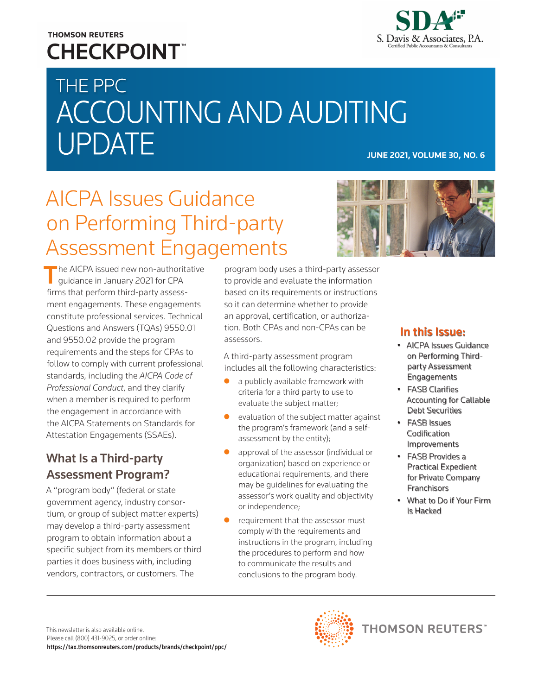### **THOMSON REUTERS CHECKPOINT**



# THE PPC ACCOUNTING AND AUDITING UPDATE **JUNE 2021, VOLUME 30, NO. 6**

# AICPA Issues Guidance on Performing Third-party Assessment Engagements

The AICPA issued new non-authoritative guidance in January 2021 for CPA firms that perform third-party assessment engagements. These engagements constitute professional services. Technical Questions and Answers (TQAs) 9550.01 and 9550.02 provide the program requirements and the steps for CPAs to follow to comply with current professional standards, including the *AICPA Code of Professional Conduct*, and they clarify when a member is required to perform the engagement in accordance with the AICPA Statements on Standards for Attestation Engagements (SSAEs).

### What Is a Third-party Assessment Program?

A "program body" (federal or state government agency, industry consortium, or group of subject matter experts) may develop a third-party assessment program to obtain information about a specific subject from its members or third parties it does business with, including vendors, contractors, or customers. The

program body uses a third-party assessor to provide and evaluate the information based on its requirements or instructions so it can determine whether to provide an approval, certification, or authorization. Both CPAs and non-CPAs can be assessors.

A third-party assessment program includes all the following characteristics:

- $\bullet$  a publicly available framework with criteria for a third party to use to evaluate the subject matter;
- evaluation of the subject matter against the program's framework (and a selfassessment by the entity);
- approval of the assessor (individual or organization) based on experience or educational requirements, and there may be guidelines for evaluating the assessor's work quality and objectivity or independence;
- requirement that the assessor must comply with the requirements and instructions in the program, including the procedures to perform and how to communicate the results and conclusions to the program body.



#### In this Issue:

- AICPA Issues Guidance on Performing Thirdparty Assessment Engagements
- FASB Clarifies Accounting for Callable Debt Securities
- FASB Issues Codification Improvements
- FASB Provides a Practical Expedient for Private Company **Franchisors**
- What to Do if Your Firm Is Hacked

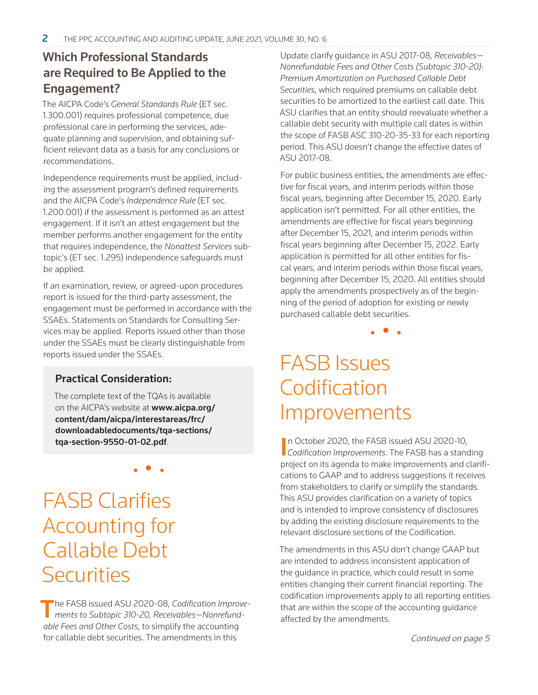### Which Professional Standards are Required to Be Applied to the Engagement?

The AICPA Code's *General Standards Rule* (ET sec. 1.300.001) requires professional competence, due professional care in performing the services, adequate planning and supervision, and obtaining sufficient relevant data as a basis for any conclusions or recommendations.

Independence requirements must be applied, including the assessment program's defined requirements and the AICPA Code's *Independence Rule* (ET sec. 1.200.001) if the assessment is performed as an attest engagement. If it isn't an attest engagement but the member performs another engagement for the entity that requires independence, the *Nonattest Services* subtopic's (ET sec. 1.295) independence safeguards must be applied.

If an examination, review, or agreed-upon procedures report is issued for the third-party assessment, the engagement must be performed in accordance with the SSAEs. Statements on Standards for Consulting Services may be applied. Reports issued other than those under the SSAEs must be clearly distinguishable from reports issued under the SSAEs.

#### Practical Consideration:

The complete text of the TQAs is available on the AICPA's website at **www.aicpa.org/** content/dam/aicpa/interestareas/frc/ downloadabledocuments/tqa-sections/ tqa-section-9550-01-02.pdf.

• • •

FASB Clarifies Accounting for Callable Debt **Securities** 

The FASB issued ASU 2020-08, *Codification Improvements to Subtopic 310-20, Receivables—Nonrefundable Fees and Other Costs*, to simplify the accounting for callable debt securities. The amendments in this

Update clarify guidance in ASU 2017-08, *Receivables— Nonrefundable Fees and Other Costs (Subtopic 310-20): Premium Amortization on Purchased Callable Debt Securities*, which required premiums on callable debt securities to be amortized to the earliest call date. This ASU clarifies that an entity should reevaluate whether a callable debt security with multiple call dates is within the scope of FASB ASC 310-20-35-33 for each reporting period. This ASU doesn't change the effective dates of ASU 2017-08.

For public business entities, the amendments are effective for fiscal years, and interim periods within those fiscal years, beginning after December 15, 2020. Early application isn't permitted. For all other entities, the amendments are effective for fiscal years beginning after December 15, 2021, and interim periods within fiscal years beginning after December 15, 2022. Early application is permitted for all other entities for fiscal years, and interim periods within those fiscal years, beginning after December 15, 2020. All entities should apply the amendments prospectively as of the beginning of the period of adoption for existing or newly purchased callable debt securities.

• • •

# FASB Issues Codification Improvements

In October 2020, the FASB issued ASU 2020-10,<br>*Codification Improvements*. The FASB has a standing n October 2020, the FASB issued ASU 2020-10, project on its agenda to make improvements and clarifications to GAAP and to address suggestions it receives from stakeholders to clarify or simplify the standards. This ASU provides clarification on a variety of topics and is intended to improve consistency of disclosures by adding the existing disclosure requirements to the relevant disclosure sections of the Codification.

The amendments in this ASU don't change GAAP but are intended to address inconsistent application of the guidance in practice, which could result in some entities changing their current financial reporting. The codification improvements apply to all reporting entities that are within the scope of the accounting guidance affected by the amendments.

Continued on page 5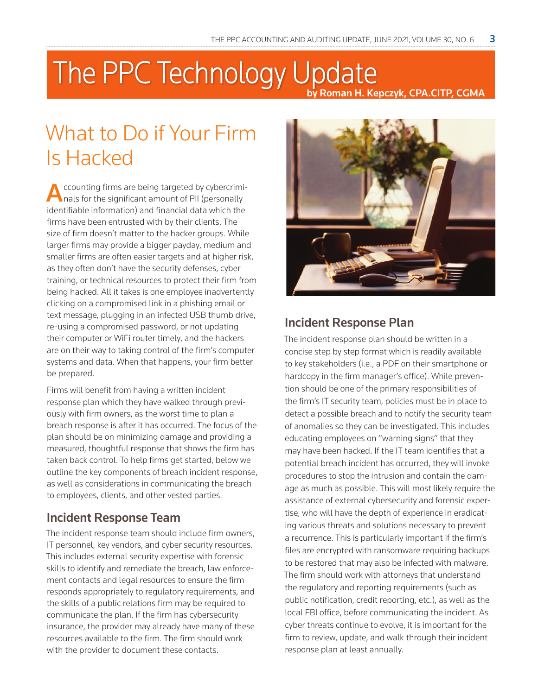## The PPC Technology Update by Roman H. Kepczyk, CPA.CITP, CGMA

# What to Do if Your Firm Is Hacked

Accounting firms are being targeted by cybercrimi-<br>
nals for the significant amount of PII (personally identifiable information) and financial data which the firms have been entrusted with by their clients. The size of firm doesn't matter to the hacker groups. While larger firms may provide a bigger payday, medium and smaller firms are often easier targets and at higher risk, as they often don't have the security defenses, cyber training, or technical resources to protect their firm from being hacked. All it takes is one employee inadvertently clicking on a compromised link in a phishing email or text message, plugging in an infected USB thumb drive, re-using a compromised password, or not updating their computer or WiFi router timely, and the hackers are on their way to taking control of the firm's computer systems and data. When that happens, your firm better be prepared.

Firms will benefit from having a written incident response plan which they have walked through previously with firm owners, as the worst time to plan a breach response is after it has occurred. The focus of the plan should be on minimizing damage and providing a measured, thoughtful response that shows the firm has taken back control. To help firms get started, below we outline the key components of breach incident response, as well as considerations in communicating the breach to employees, clients, and other vested parties.

#### Incident Response Team

The incident response team should include firm owners, IT personnel, key vendors, and cyber security resources. This includes external security expertise with forensic skills to identify and remediate the breach, law enforcement contacts and legal resources to ensure the firm responds appropriately to regulatory requirements, and the skills of a public relations firm may be required to communicate the plan. If the firm has cybersecurity insurance, the provider may already have many of these resources available to the firm. The firm should work with the provider to document these contacts.



### Incident Response Plan

The incident response plan should be written in a concise step by step format which is readily available to key stakeholders (i.e., a PDF on their smartphone or hardcopy in the firm manager's office). While prevention should be one of the primary responsibilities of the firm's IT security team, policies must be in place to detect a possible breach and to notify the security team of anomalies so they can be investigated. This includes educating employees on "warning signs" that they may have been hacked. If the IT team identifies that a potential breach incident has occurred, they will invoke procedures to stop the intrusion and contain the damage as much as possible. This will most likely require the assistance of external cybersecurity and forensic expertise, who will have the depth of experience in eradicating various threats and solutions necessary to prevent a recurrence. This is particularly important if the firm's files are encrypted with ransomware requiring backups to be restored that may also be infected with malware. The firm should work with attorneys that understand the regulatory and reporting requirements (such as public notification, credit reporting, etc.), as well as the local FBI office, before communicating the incident. As cyber threats continue to evolve, it is important for the firm to review, update, and walk through their incident response plan at least annually.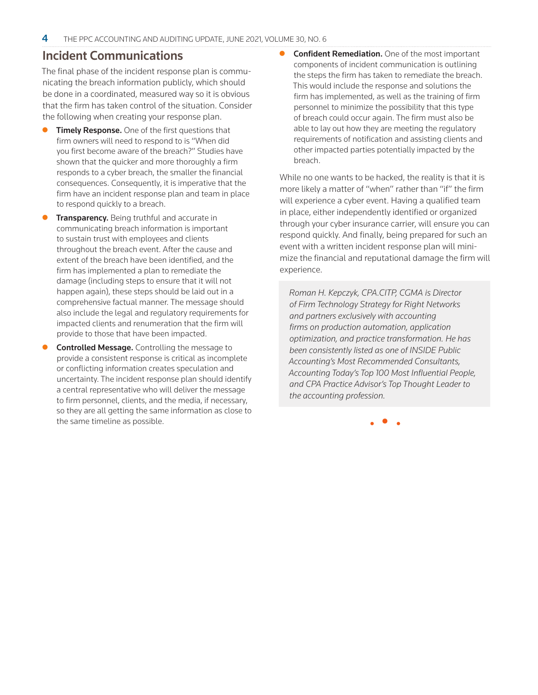#### Incident Communications

The final phase of the incident response plan is communicating the breach information publicly, which should be done in a coordinated, measured way so it is obvious that the firm has taken control of the situation. Consider the following when creating your response plan.

- Timely Response. One of the first questions that firm owners will need to respond to is "When did you first become aware of the breach?" Studies have shown that the quicker and more thoroughly a firm responds to a cyber breach, the smaller the financial consequences. Consequently, it is imperative that the firm have an incident response plan and team in place to respond quickly to a breach.
- **Transparency.** Being truthful and accurate in communicating breach information is important to sustain trust with employees and clients throughout the breach event. After the cause and extent of the breach have been identified, and the firm has implemented a plan to remediate the damage (including steps to ensure that it will not happen again), these steps should be laid out in a comprehensive factual manner. The message should also include the legal and regulatory requirements for impacted clients and renumeration that the firm will provide to those that have been impacted.
- Controlled Message. Controlling the message to provide a consistent response is critical as incomplete or conflicting information creates speculation and uncertainty. The incident response plan should identify a central representative who will deliver the message to firm personnel, clients, and the media, if necessary, so they are all getting the same information as close to the same timeline as possible.

**Confident Remediation.** One of the most important components of incident communication is outlining the steps the firm has taken to remediate the breach. This would include the response and solutions the firm has implemented, as well as the training of firm personnel to minimize the possibility that this type of breach could occur again. The firm must also be able to lay out how they are meeting the regulatory requirements of notification and assisting clients and other impacted parties potentially impacted by the breach.

While no one wants to be hacked, the reality is that it is more likely a matter of "when" rather than "if" the firm will experience a cyber event. Having a qualified team in place, either independently identified or organized through your cyber insurance carrier, will ensure you can respond quickly. And finally, being prepared for such an event with a written incident response plan will minimize the financial and reputational damage the firm will experience.

*Roman H. Kepczyk, CPA.CITP, CGMA is Director of Firm Technology Strategy for Right Networks and partners exclusively with accounting firms on production automation, application optimization, and practice transformation. He has been consistently listed as one of INSIDE Public Accounting's Most Recommended Consultants, Accounting Today's Top 100 Most Influential People, and CPA Practice Advisor's Top Thought Leader to the accounting profession.*

• • •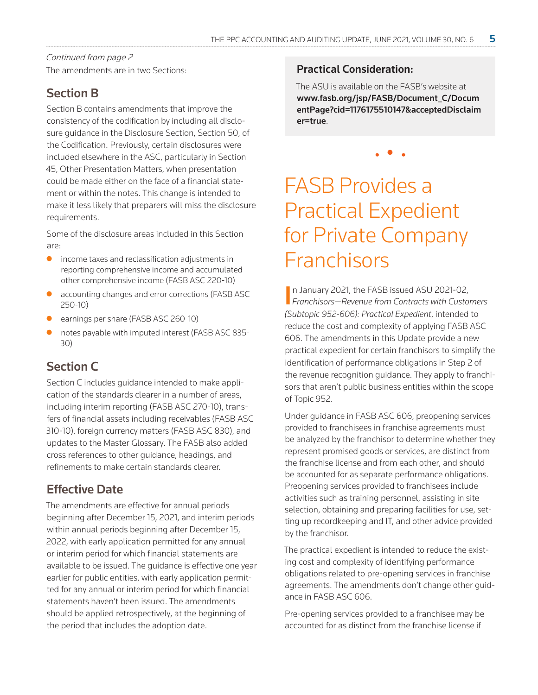The amendments are in two Sections: Continued from page 2

### Section B

Section B contains amendments that improve the consistency of the codification by including all disclosure guidance in the Disclosure Section, Section 50, of the Codification. Previously, certain disclosures were included elsewhere in the ASC, particularly in Section 45, Other Presentation Matters, when presentation could be made either on the face of a financial statement or within the notes. This change is intended to make it less likely that preparers will miss the disclosure requirements.

Some of the disclosure areas included in this Section are:

- income taxes and reclassification adjustments in reporting comprehensive income and accumulated other comprehensive income (FASB ASC 220-10)
- accounting changes and error corrections (FASB ASC 250-10)
- earnings per share (FASB ASC 260-10)
- notes payable with imputed interest (FASB ASC 835-30)

### Section C

Section C includes guidance intended to make application of the standards clearer in a number of areas, including interim reporting (FASB ASC 270-10), transfers of financial assets including receivables (FASB ASC 310-10), foreign currency matters (FASB ASC 830), and updates to the Master Glossary. The FASB also added cross references to other guidance, headings, and refinements to make certain standards clearer.

### Effective Date

The amendments are effective for annual periods beginning after December 15, 2021, and interim periods within annual periods beginning after December 15, 2022, with early application permitted for any annual or interim period for which financial statements are available to be issued. The guidance is effective one year earlier for public entities, with early application permitted for any annual or interim period for which financial statements haven't been issued. The amendments should be applied retrospectively, at the beginning of the period that includes the adoption date.

#### Practical Consideration:

The ASU is available on the FASB's website at www.fasb.org/jsp/FASB/Document\_C/Docum entPage?cid=1176175510147&acceptedDisclaim er=true.

• • •

# FASB Provides a Practical Expedient for Private Company Franchisors

In January 2021, the FASB issued ASU 2021-02,<br>Franchisors—Revenue from Contracts with Custor *Franchisors—Revenue from Contracts with Customers (Subtopic 952-606): Practical Expedient*, intended to reduce the cost and complexity of applying FASB ASC 606. The amendments in this Update provide a new practical expedient for certain franchisors to simplify the identification of performance obligations in Step 2 of the revenue recognition guidance. They apply to franchisors that aren't public business entities within the scope of Topic 952.

Under guidance in FASB ASC 606, preopening services provided to franchisees in franchise agreements must be analyzed by the franchisor to determine whether they represent promised goods or services, are distinct from the franchise license and from each other, and should be accounted for as separate performance obligations. Preopening services provided to franchisees include activities such as training personnel, assisting in site selection, obtaining and preparing facilities for use, setting up recordkeeping and IT, and other advice provided by the franchisor.

The practical expedient is intended to reduce the existing cost and complexity of identifying performance obligations related to pre-opening services in franchise agreements. The amendments don't change other guidance in FASB ASC 606.

Pre-opening services provided to a franchisee may be accounted for as distinct from the franchise license if